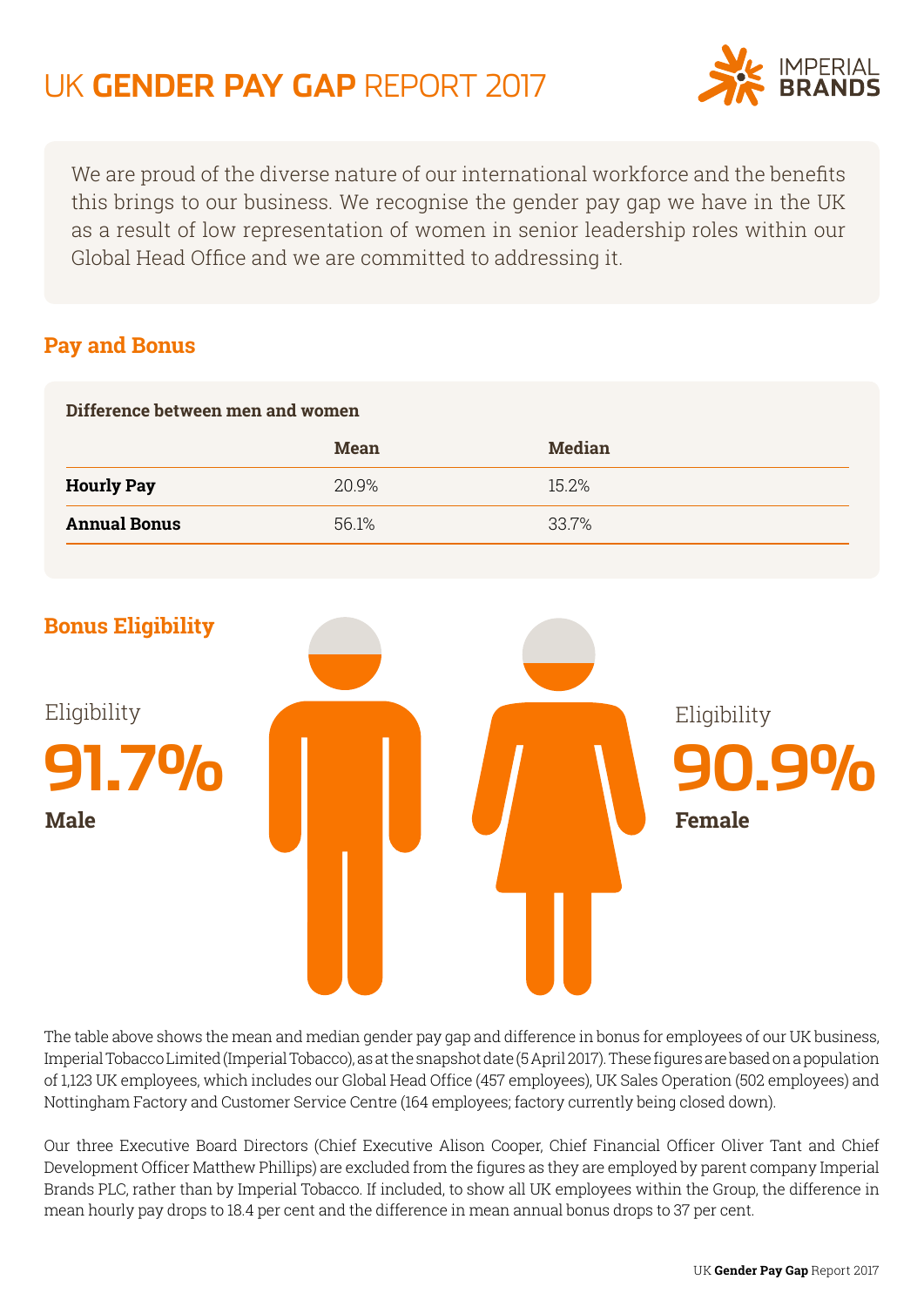## UK **GENDER PAY GAP** REPORT 2017



We are proud of the diverse nature of our international workforce and the benefits this brings to our business. We recognise the gender pay gap we have in the UK as a result of low representation of women in senior leadership roles within our Global Head Office and we are committed to addressing it.

## **Pay and Bonus**

| Difference between men and women |             |               |  |
|----------------------------------|-------------|---------------|--|
|                                  | <b>Mean</b> | <b>Median</b> |  |
| <b>Hourly Pay</b>                | 20.9%       | 15.2%         |  |
| <b>Annual Bonus</b>              | 56.1%       | 33.7%         |  |
|                                  |             |               |  |



The table above shows the mean and median gender pay gap and difference in bonus for employees of our UK business, Imperial Tobacco Limited (Imperial Tobacco), as at the snapshot date (5 April 2017). These figures are based on a population of 1,123 UK employees, which includes our Global Head Office (457 employees), UK Sales Operation (502 employees) and Nottingham Factory and Customer Service Centre (164 employees; factory currently being closed down).

Our three Executive Board Directors (Chief Executive Alison Cooper, Chief Financial Officer Oliver Tant and Chief Development Officer Matthew Phillips) are excluded from the figures as they are employed by parent company Imperial Brands PLC, rather than by Imperial Tobacco. If included, to show all UK employees within the Group, the difference in mean hourly pay drops to 18.4 per cent and the difference in mean annual bonus drops to 37 per cent.